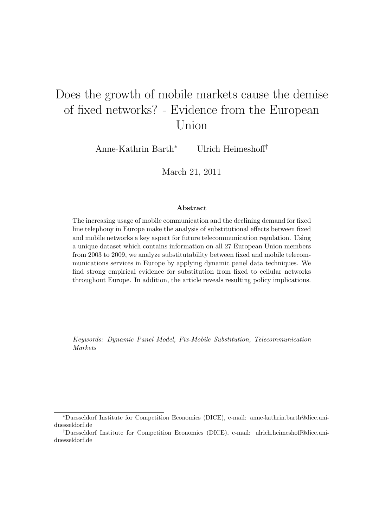# Does the growth of mobile markets cause the demise of fixed networks? - Evidence from the European Union

Anne-Kathrin Barth<sup>∗</sup> Ulrich Heimeshoff†

March 21, 2011

#### Abstract

The increasing usage of mobile communication and the declining demand for fixed line telephony in Europe make the analysis of substitutional effects between fixed and mobile networks a key aspect for future telecommunication regulation. Using a unique dataset which contains information on all 27 European Union members from 2003 to 2009, we analyze substitutability between fixed and mobile telecommunications services in Europe by applying dynamic panel data techniques. We find strong empirical evidence for substitution from fixed to cellular networks throughout Europe. In addition, the article reveals resulting policy implications.

Keywords: Dynamic Panel Model, Fix-Mobile Substitution, Telecommunication Markets

<sup>∗</sup>Duesseldorf Institute for Competition Economics (DICE), e-mail: anne-kathrin.barth@dice.uniduesseldorf.de

<sup>†</sup>Duesseldorf Institute for Competition Economics (DICE), e-mail: ulrich.heimeshoff@dice.uniduesseldorf.de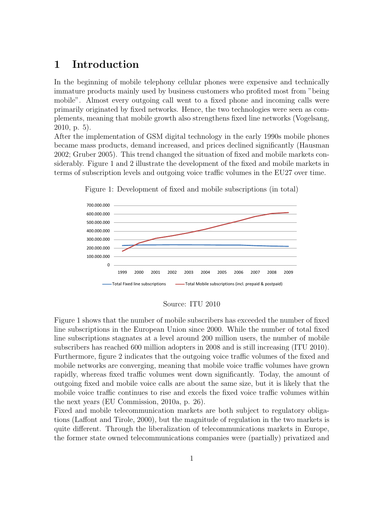## 1 Introduction

In the beginning of mobile telephony cellular phones were expensive and technically immature products mainly used by business customers who profited most from "being mobile". Almost every outgoing call went to a fixed phone and incoming calls were primarily originated by fixed networks. Hence, the two technologies were seen as complements, meaning that mobile growth also strengthens fixed line networks (Vogelsang, 2010, p. 5).

After the implementation of GSM digital technology in the early 1990s mobile phones became mass products, demand increased, and prices declined significantly (Hausman 2002; Gruber 2005). This trend changed the situation of fixed and mobile markets considerably. Figure 1 and 2 illustrate the development of the fixed and mobile markets in terms of subscription levels and outgoing voice traffic volumes in the EU27 over time.



Figure 1: Development of fixed and mobile subscriptions (in total)

#### Source: ITU 2010

Figure 1 shows that the number of mobile subscribers has exceeded the number of fixed line subscriptions in the European Union since 2000. While the number of total fixed line subscriptions stagnates at a level around 200 million users, the number of mobile subscribers has reached 600 million adopters in 2008 and is still increasing (ITU 2010). Furthermore, figure 2 indicates that the outgoing voice traffic volumes of the fixed and mobile networks are converging, meaning that mobile voice traffic volumes have grown rapidly, whereas fixed traffic volumes went down significantly. Today, the amount of outgoing fixed and mobile voice calls are about the same size, but it is likely that the mobile voice traffic continues to rise and excels the fixed voice traffic volumes within the next years (EU Commission, 2010a, p. 26).

Fixed and mobile telecommunication markets are both subject to regulatory obligations (Laffont and Tirole, 2000), but the magnitude of regulation in the two markets is quite different. Through the liberalization of telecommunications markets in Europe, the former state owned telecommunications companies were (partially) privatized and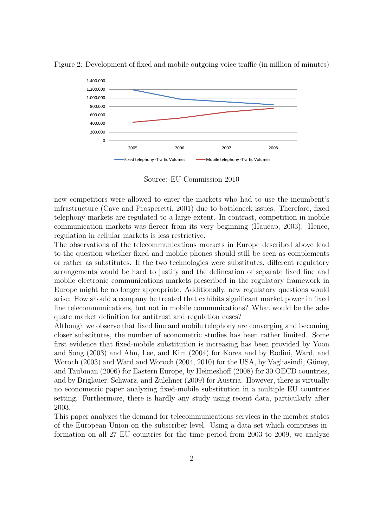

Figure 2: Development of fixed and mobile outgoing voice traffic (in million of minutes)

Source: EU Commission 2010

new competitors were allowed to enter the markets who had to use the incumbent's infrastructure (Cave and Prosperetti, 2001) due to bottleneck issues. Therefore, fixed telephony markets are regulated to a large extent. In contrast, competition in mobile communication markets was fiercer from its very beginning (Haucap, 2003). Hence, regulation in cellular markets is less restrictive.

The observations of the telecommunications markets in Europe described above lead to the question whether fixed and mobile phones should still be seen as complements or rather as substitutes. If the two technologies were substitutes, different regulatory arrangements would be hard to justify and the delineation of separate fixed line and mobile electronic communications markets prescribed in the regulatory framework in Europe might be no longer appropriate. Additionally, new regulatory questions would arise: How should a company be treated that exhibits significant market power in fixed line telecommunications, but not in mobile communications? What would be the adequate market definition for antitrust and regulation cases?

Although we observe that fixed line and mobile telephony are converging and becoming closer substitutes, the number of econometric studies has been rather limited. Some first evidence that fixed-mobile substitution is increasing has been provided by Yoon and Song (2003) and Ahn, Lee, and Kim (2004) for Korea and by Rodini, Ward, and Woroch (2003) and Ward and Woroch (2004, 2010) for the USA, by Vagliasindi, Güney, and Taubman (2006) for Eastern Europe, by Heimeshoff (2008) for 30 OECD countries, and by Briglauer, Schwarz, and Zulehner (2009) for Austria. However, there is virtually no econometric paper analyzing fixed-mobile substitution in a multiple EU countries setting. Furthermore, there is hardly any study using recent data, particularly after 2003.

This paper analyzes the demand for telecommunications services in the member states of the European Union on the subscriber level. Using a data set which comprises information on all 27 EU countries for the time period from 2003 to 2009, we analyze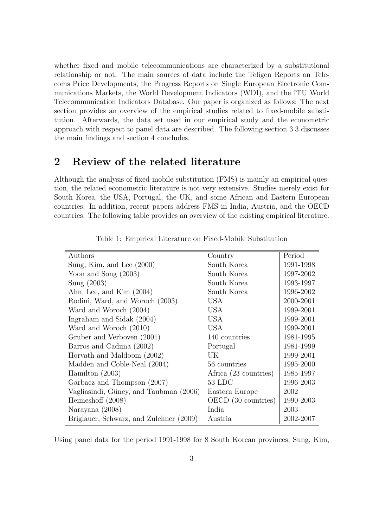whether fixed and mobile telecommunications are characterized by a substitutional relationship or not. The main sources of data include the Teligen Reports on Telecoms Price Developments, the Progress Reports on Single European Electronic Communications Markets, the World Development Indicators (WDI), and the ITU World Telecommunication Indicators Database. Our paper is organized as follows: The next section provides an overview of the empirical studies related to fixed-mobile substitution. Afterwards, the data set used in our empirical study and the econometric approach with respect to panel data are described. The following section 3.3 discusses the main findings and section 4 concludes.

## 2 Review of the related literature

Although the analysis of fixed-mobile substitution (FMS) is mainly an empirical question, the related econometric literature is not very extensive. Studies merely exist for South Korea, the USA, Portugal, the UK, and some African and Eastern European countries. In addition, recent papers address FMS in India, Austria, and the OECD countries. The following table provides an overview of the existing empirical literature.

| Authors                                 | Country               | Period    |
|-----------------------------------------|-----------------------|-----------|
| Sung, Kim, and Lee $(2000)$             | South Korea           | 1991-1998 |
| Yoon and Song $(2003)$                  | South Korea           | 1997-2002 |
| Sung $(2003)$                           | South Korea           | 1993-1997 |
| Ahn, Lee, and Kim (2004)                | South Korea           | 1996-2002 |
| Rodini, Ward, and Woroch (2003)         | <b>USA</b>            | 2000-2001 |
| Ward and Woroch (2004)                  | <b>USA</b>            | 1999-2001 |
| Ingraham and Sidak (2004)               | <b>USA</b>            | 1999-2001 |
| Ward and Woroch (2010)                  | <b>USA</b>            | 1999-2001 |
| Gruber and Verboven (2001)              | 140 countries         | 1981-1995 |
| Barros and Cadima (2002)                | Portugal              | 1981-1999 |
| Horvath and Maldoom (2002)              | UK                    | 1999-2001 |
| Madden and Coble-Neal (2004)            | 56 countries          | 1995-2000 |
| Hamilton $(2003)$                       | Africa (23 countries) | 1985-1997 |
| Garbacz and Thompson (2007)             | 53 LDC                | 1996-2003 |
| Vagliasindi, Güney, and Taubman (2006)  | Eastern Europe        | 2002      |
| Heimeshoff $(2008)$                     | OECD (30 countries)   | 1990-2003 |
| Narayana (2008)                         | India                 | 2003      |
| Briglauer, Schwarz, and Zulehner (2009) | Austria               | 2002-2007 |

Table 1: Empirical Literature on Fixed-Mobile Substitution

Using panel data for the period 1991-1998 for 8 South Korean provinces, Sung, Kim,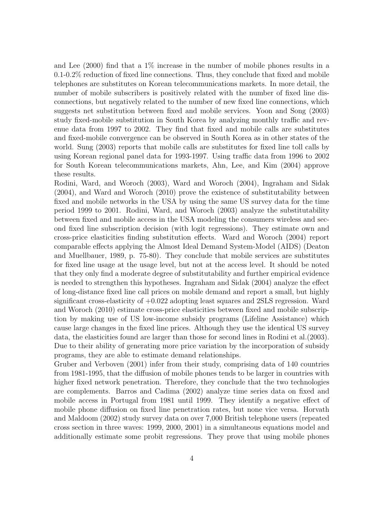and Lee (2000) find that a 1% increase in the number of mobile phones results in a 0.1-0.2% reduction of fixed line connections. Thus, they conclude that fixed and mobile telephones are substitutes on Korean telecommunications markets. In more detail, the number of mobile subscribers is positively related with the number of fixed line disconnections, but negatively related to the number of new fixed line connections, which suggests net substitution between fixed and mobile services. Yoon and Song (2003) study fixed-mobile substitution in South Korea by analyzing monthly traffic and revenue data from 1997 to 2002. They find that fixed and mobile calls are substitutes and fixed-mobile convergence can be observed in South Korea as in other states of the world. Sung (2003) reports that mobile calls are substitutes for fixed line toll calls by using Korean regional panel data for 1993-1997. Using traffic data from 1996 to 2002 for South Korean telecommunications markets, Ahn, Lee, and Kim (2004) approve these results.

Rodini, Ward, and Woroch (2003), Ward and Woroch (2004), Ingraham and Sidak (2004), and Ward and Woroch (2010) prove the existence of substitutability between fixed and mobile networks in the USA by using the same US survey data for the time period 1999 to 2001. Rodini, Ward, and Woroch (2003) analyze the substitutability between fixed and mobile access in the USA modeling the consumers wireless and second fixed line subscription decision (with logit regressions). They estimate own and cross-price elasticities finding substitution effects. Ward and Woroch (2004) report comparable effects applying the Almost Ideal Demand System-Model (AIDS) (Deaton and Muellbauer, 1989, p. 75-80). They conclude that mobile services are substitutes for fixed line usage at the usage level, but not at the access level. It should be noted that they only find a moderate degree of substitutability and further empirical evidence is needed to strengthen this hypotheses. Ingraham and Sidak (2004) analyze the effect of long-distance fixed line call prices on mobile demand and report a small, but highly significant cross-elasticity of +0.022 adopting least squares and 2SLS regression. Ward and Woroch (2010) estimate cross-price elasticities between fixed and mobile subscription by making use of US low-income subsidy programs (Lifeline Assistance) which cause large changes in the fixed line prices. Although they use the identical US survey data, the elasticities found are larger than those for second lines in Rodini et al.(2003). Due to their ability of generating more price variation by the incorporation of subsidy programs, they are able to estimate demand relationships.

Gruber and Verboven (2001) infer from their study, comprising data of 140 countries from 1981-1995, that the diffusion of mobile phones tends to be larger in countries with higher fixed network penetration. Therefore, they conclude that the two technologies are complements. Barros and Cadima (2002) analyze time series data on fixed and mobile access in Portugal from 1981 until 1999. They identify a negative effect of mobile phone diffusion on fixed line penetration rates, but none vice versa. Horvath and Maldoom (2002) study survey data on over 7,000 British telephone users (repeated cross section in three waves: 1999, 2000, 2001) in a simultaneous equations model and additionally estimate some probit regressions. They prove that using mobile phones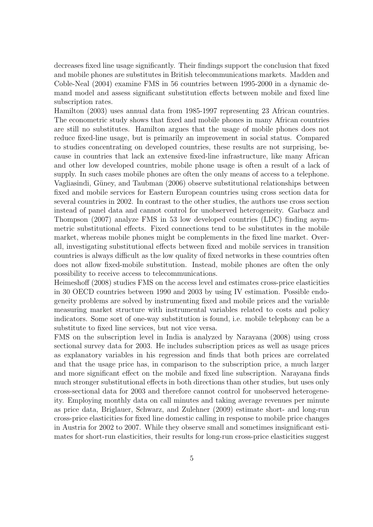decreases fixed line usage significantly. Their findings support the conclusion that fixed and mobile phones are substitutes in British telecommunications markets. Madden and Coble-Neal (2004) examine FMS in 56 countries between 1995-2000 in a dynamic demand model and assess significant substitution effects between mobile and fixed line subscription rates.

Hamilton (2003) uses annual data from 1985-1997 representing 23 African countries. The econometric study shows that fixed and mobile phones in many African countries are still no substitutes. Hamilton argues that the usage of mobile phones does not reduce fixed-line usage, but is primarily an improvement in social status. Compared to studies concentrating on developed countries, these results are not surprising, because in countries that lack an extensive fixed-line infrastructure, like many African and other low developed countries, mobile phone usage is often a result of a lack of supply. In such cases mobile phones are often the only means of access to a telephone. Vagliasindi, Güney, and Taubman (2006) observe substitutional relationships between fixed and mobile services for Eastern European countries using cross section data for several countries in 2002. In contrast to the other studies, the authors use cross section instead of panel data and cannot control for unobserved heterogeneity. Garbacz and Thompson (2007) analyze FMS in 53 low developed countries (LDC) finding asymmetric substitutional effects. Fixed connections tend to be substitutes in the mobile market, whereas mobile phones might be complements in the fixed line market. Overall, investigating substitutional effects between fixed and mobile services in transition countries is always difficult as the low quality of fixed networks in these countries often does not allow fixed-mobile substitution. Instead, mobile phones are often the only possibility to receive access to telecommunications.

Heimeshoff (2008) studies FMS on the access level and estimates cross-price elasticities in 30 OECD countries between 1990 and 2003 by using IV estimation. Possible endogeneity problems are solved by instrumenting fixed and mobile prices and the variable measuring market structure with instrumental variables related to costs and policy indicators. Some sort of one-way substitution is found, i.e. mobile telephony can be a substitute to fixed line services, but not vice versa.

FMS on the subscription level in India is analyzed by Narayana (2008) using cross sectional survey data for 2003. He includes subscription prices as well as usage prices as explanatory variables in his regression and finds that both prices are correlated and that the usage price has, in comparison to the subscription price, a much larger and more significant effect on the mobile and fixed line subscription. Narayana finds much stronger substitutional effects in both directions than other studies, but uses only cross-sectional data for 2003 and therefore cannot control for unobserved heterogeneity. Employing monthly data on call minutes and taking average revenues per minute as price data, Briglauer, Schwarz, and Zulehner (2009) estimate short- and long-run cross-price elasticities for fixed line domestic calling in response to mobile price changes in Austria for 2002 to 2007. While they observe small and sometimes insignificant estimates for short-run elasticities, their results for long-run cross-price elasticities suggest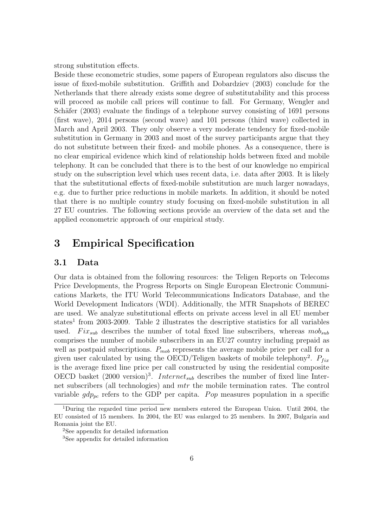strong substitution effects.

Beside these econometric studies, some papers of European regulators also discuss the issue of fixed-mobile substitution. Griffith and Dobardziev (2003) conclude for the Netherlands that there already exists some degree of substitutability and this process will proceed as mobile call prices will continue to fall. For Germany, Wengler and Schäfer (2003) evaluate the findings of a telephone survey consisting of 1691 persons (first wave), 2014 persons (second wave) and 101 persons (third wave) collected in March and April 2003. They only observe a very moderate tendency for fixed-mobile substitution in Germany in 2003 and most of the survey participants argue that they do not substitute between their fixed- and mobile phones. As a consequence, there is no clear empirical evidence which kind of relationship holds between fixed and mobile telephony. It can be concluded that there is to the best of our knowledge no empirical study on the subscription level which uses recent data, i.e. data after 2003. It is likely that the substitutional effects of fixed-mobile substitution are much larger nowadays, e.g. due to further price reductions in mobile markets. In addition, it should be noted that there is no multiple country study focusing on fixed-mobile substitution in all 27 EU countries. The following sections provide an overview of the data set and the applied econometric approach of our empirical study.

## 3 Empirical Specification

#### 3.1 Data

Our data is obtained from the following resources: the Teligen Reports on Telecoms Price Developments, the Progress Reports on Single European Electronic Communications Markets, the ITU World Telecommunications Indicators Database, and the World Development Indicators (WDI). Additionally, the MTR Snapshots of BEREC are used. We analyze substitutional effects on private access level in all EU member states<sup>1</sup> from 2003-2009. Table 2 illustrates the descriptive statistics for all variables used. Fix<sub>sub</sub> describes the number of total fixed line subscribers, whereas  $m\omega_{sub}$ comprises the number of mobile subscribers in an EU27 country including prepaid as well as postpaid subscriptions.  $P_{mob}$  represents the average mobile price per call for a given user calculated by using the OECD/Teligen baskets of mobile telephony<sup>2</sup>.  $P_{fix}$ is the average fixed line price per call constructed by using the residential composite OECD basket  $(2000 \text{ version})^3$ . *Internet<sub>sub</sub>* describes the number of fixed line Internet subscribers (all technologies) and *mtr* the mobile termination rates. The control variable  $gdp_{pc}$  refers to the GDP per capita. Pop measures population in a specific

<sup>1</sup>During the regarded time period new members entered the European Union. Until 2004, the EU consisted of 15 members. In 2004, the EU was enlarged to 25 members. In 2007, Bulgaria and Romania joint the EU.

<sup>2</sup>See appendix for detailed information

<sup>3</sup>See appendix for detailed information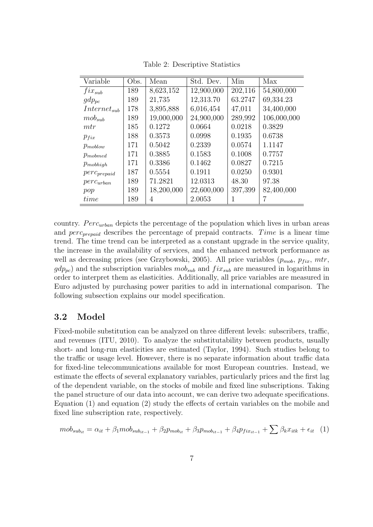| Variable         | Obs. | Mean       | Std. Dev.  | Min     | Max         |
|------------------|------|------------|------------|---------|-------------|
| $fix_{sub}$      | 189  | 8,623,152  | 12,900,000 | 202,116 | 54,800,000  |
| $gdp_{pc}$       | 189  | 21,735     | 12,313.70  | 63.2747 | 69,334.23   |
| $Internet_{sub}$ | 178  | 3,895,888  | 6,016,454  | 47,011  | 34,400,000  |
| $mob_{sub}$      | 189  | 19,000,000 | 24,900,000 | 289,992 | 106,000,000 |
| mtr              | 185  | 0.1272     | 0.0664     | 0.0218  | 0.3829      |
| $p_{fix}$        | 188  | 0.3573     | 0.0998     | 0.1935  | 0.6738      |
| $p_{moblow}$     | 171  | 0.5042     | 0.2339     | 0.0574  | 1.1147      |
| $p_{mobmed}$     | 171  | 0.3885     | 0.1583     | 0.1008  | 0.7757      |
| $p_{mobhigh}$    | 171  | 0.3386     | 0.1462     | 0.0827  | 0.7215      |
| $perc_{prepaid}$ | 187  | 0.5554     | 0.1911     | 0.0250  | 0.9301      |
| $perc_{urban}$   | 189  | 71.2821    | 12.0313    | 48.30   | 97.38       |
| pop              | 189  | 18,200,000 | 22,600,000 | 397,399 | 82,400,000  |
| time             | 189  | 4          | 2.0053     |         |             |

Table 2: Descriptive Statistics

country.  $Perc_{urban}$  depicts the percentage of the population which lives in urban areas and  $perc_{prevalid}$  describes the percentage of prepaid contracts. Time is a linear time trend. The time trend can be interpreted as a constant upgrade in the service quality, the increase in the availability of services, and the enhanced network performance as well as decreasing prices (see Grzybowski, 2005). All price variables  $(p_{mob}, p_{fix}, mtr,$  $gdp_{pc}$ ) and the subscription variables  $mob_{sub}$  and  $fix_{sub}$  are measured in logarithms in order to interpret them as elasticities. Additionally, all price variables are measured in Euro adjusted by purchasing power parities to add in international comparison. The following subsection explains our model specification.

### 3.2 Model

Fixed-mobile substitution can be analyzed on three different levels: subscribers, traffic, and revenues (ITU, 2010). To analyze the substitutability between products, usually short- and long-run elasticities are estimated (Taylor, 1994). Such studies belong to the traffic or usage level. However, there is no separate information about traffic data for fixed-line telecommunications available for most European countries. Instead, we estimate the effects of several explanatory variables, particularly prices and the first lag of the dependent variable, on the stocks of mobile and fixed line subscriptions. Taking the panel structure of our data into account, we can derive two adequate specifications. Equation (1) and equation (2) study the effects of certain variables on the mobile and fixed line subscription rate, respectively.

$$
mobsubit = \alphait + \beta1mobsubit-1 + \beta2pmobit + \beta3pmobit-1 + \beta4pfixit-1 + \sum \betakxitk + \epsilonit
$$
 (1)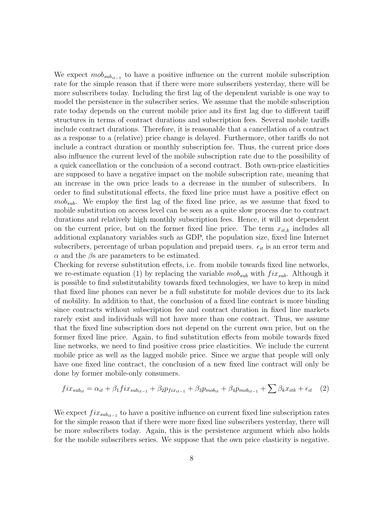We expect  $\textit{mob}_{\textit{sub}_{it-1}}$  to have a positive influence on the current mobile subscription rate for the simple reason that if there were more subscribers yesterday, there will be more subscribers today. Including the first lag of the dependent variable is one way to model the persistence in the subscriber series. We assume that the mobile subscription rate today depends on the current mobile price and its first lag due to different tariff structures in terms of contract durations and subscription fees. Several mobile tariffs include contract durations. Therefore, it is reasonable that a cancellation of a contract as a response to a (relative) price change is delayed. Furthermore, other tariffs do not include a contract duration or monthly subscription fee. Thus, the current price does also influence the current level of the mobile subscription rate due to the possibility of a quick cancellation or the conclusion of a second contract. Both own-price elasticities are supposed to have a negative impact on the mobile subscription rate, meaning that an increase in the own price leads to a decrease in the number of subscribers. In order to find substitutional effects, the fixed line price must have a positive effect on  $m_0b_{sub}$ . We employ the first lag of the fixed line price, as we assume that fixed to mobile substitution on access level can be seen as a quite slow process due to contract durations and relatively high monthly subscription fees. Hence, it will not dependent on the current price, but on the former fixed line price. The term  $x_{it,k}$  includes all additional explanatory variables such as GDP, the population size, fixed line Internet subscribers, percentage of urban population and prepaid users.  $\epsilon_{it}$  is an error term and  $\alpha$  and the  $\beta$ s are parameters to be estimated.

Checking for reverse substitution effects, i.e. from mobile towards fixed line networks, we re-estimate equation (1) by replacing the variable  $m\omega_{sub}$  with  $fix_{sub}$ . Although it is possible to find substitutability towards fixed technologies, we have to keep in mind that fixed line phones can never be a full substitute for mobile devices due to its lack of mobility. In addition to that, the conclusion of a fixed line contract is more binding since contracts without subscription fee and contract duration in fixed line markets rarely exist and individuals will not have more than one contract. Thus, we assume that the fixed line subscription does not depend on the current own price, but on the former fixed line price. Again, to find substitution effects from mobile towards fixed line networks, we need to find positive cross price elasticities. We include the current mobile price as well as the lagged mobile price. Since we argue that people will only have one fixed line contract, the conclusion of a new fixed line contract will only be done by former mobile-only consumers.

$$
fix_{sub_{it}} = \alpha_{it} + \beta_1 fix_{sub_{it-1}} + \beta_2 p_{fix_{it-1}} + \beta_3 p_{mob_{it}} + \beta_4 p_{mob_{it-1}} + \sum \beta_k x_{itk} + \epsilon_{it} \quad (2)
$$

We expect  $fix_{sub_{it-1}}$  to have a positive influence on current fixed line subscription rates for the simple reason that if there were more fixed line subscribers yesterday, there will be more subscribers today. Again, this is the persistence argument which also holds for the mobile subscribers series. We suppose that the own price elasticity is negative.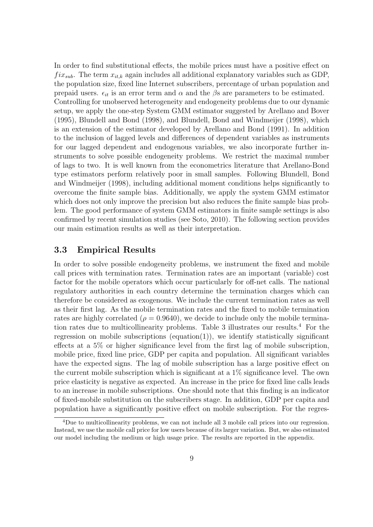In order to find substitutional effects, the mobile prices must have a positive effect on  $fix_{sub}$ . The term  $x_{it,k}$  again includes all additional explanatory variables such as GDP, the population size, fixed line Internet subscribers, percentage of urban population and prepaid users.  $\epsilon_{it}$  is an error term and  $\alpha$  and the  $\beta$ s are parameters to be estimated. Controlling for unobserved heterogeneity and endogeneity problems due to our dynamic setup, we apply the one-step System GMM estimator suggested by Arellano and Bover (1995), Blundell and Bond (1998), and Blundell, Bond and Windmeijer (1998), which is an extension of the estimator developed by Arellano and Bond (1991). In addition to the inclusion of lagged levels and differences of dependent variables as instruments for our lagged dependent and endogenous variables, we also incorporate further instruments to solve possible endogeneity problems. We restrict the maximal number of lags to two. It is well known from the econometrics literature that Arellano-Bond type estimators perform relatively poor in small samples. Following Blundell, Bond and Windmeijer (1998), including additional moment conditions helps significantly to overcome the finite sample bias. Additionally, we apply the system GMM estimator which does not only improve the precision but also reduces the finite sample bias problem. The good performance of system GMM estimators in finite sample settings is also confirmed by recent simulation studies (see Soto, 2010). The following section provides our main estimation results as well as their interpretation.

#### 3.3 Empirical Results

In order to solve possible endogeneity problems, we instrument the fixed and mobile call prices with termination rates. Termination rates are an important (variable) cost factor for the mobile operators which occur particularly for off-net calls. The national regulatory authorities in each country determine the termination charges which can therefore be considered as exogenous. We include the current termination rates as well as their first lag. As the mobile termination rates and the fixed to mobile termination rates are highly correlated ( $\rho = 0.9640$ ), we decide to include only the mobile termination rates due to multicollinearity problems. Table 3 illustrates our results.<sup>4</sup> For the regression on mobile subscriptions (equation(1)), we identify statistically significant effects at a 5% or higher significance level from the first lag of mobile subscription, mobile price, fixed line price, GDP per capita and population. All significant variables have the expected signs. The lag of mobile subscription has a large positive effect on the current mobile subscription which is significant at a 1% significance level. The own price elasticity is negative as expected. An increase in the price for fixed line calls leads to an increase in mobile subscriptions. One should note that this finding is an indicator of fixed-mobile substitution on the subscribers stage. In addition, GDP per capita and population have a significantly positive effect on mobile subscription. For the regres-

<sup>4</sup>Due to multicollinearity problems, we can not include all 3 mobile call prices into our regression. Instead, we use the mobile call price for low users because of its larger variation. But, we also estimated our model including the medium or high usage price. The results are reported in the appendix.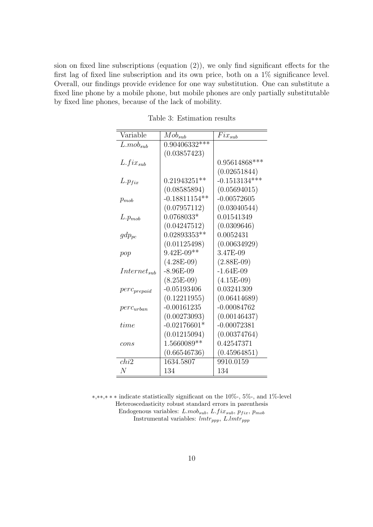sion on fixed line subscriptions (equation (2)), we only find significant effects for the first lag of fixed line subscription and its own price, both on a 1% significance level. Overall, our findings provide evidence for one way substitution. One can substitute a fixed line phone by a mobile phone, but mobile phones are only partially substitutable by fixed line phones, because of the lack of mobility.

| Variable         | $Mob_{sub}$     | $Fix_{sub}$     |
|------------------|-----------------|-----------------|
| $L.mob_{sub}$    | $0.90406332***$ |                 |
|                  | (0.03857423)    |                 |
| $L.fix_{sub}$    |                 | 0.95614868***   |
|                  |                 | (0.02651844)    |
| $L.p_{fix}$      | $0.21943251**$  | $-0.1513134***$ |
|                  | (0.08585894)    | (0.05694015)    |
| $p_{mob}$        | $-0.18811154**$ | $-0.00572605$   |
|                  | (0.07957112)    | (0.03040544)    |
| $L.p_{mob}$      | $0.0768033*$    | 0.01541349      |
|                  | (0.04247512)    | (0.0309646)     |
| $gdp_{pc}$       | $0.02893353**$  | 0.0052431       |
|                  | (0.01125498)    | (0.00634929)    |
| pop              | $9.42E - 09**$  | 3.47E-09        |
|                  | $(4.28E-09)$    | $(2.88E-09)$    |
| $Internet_{sub}$ | $-8.96E-09$     | $-1.64E-09$     |
|                  | $(8.25E-09)$    | $(4.15E-09)$    |
| $perC_{prepaid}$ | $-0.05193406$   | 0.03241309      |
|                  | (0.12211955)    | (0.06414689)    |
| $perc_{urban}$   | $-0.00161235$   | $-0.00084762$   |
|                  | (0.00273093)    | (0.00146437)    |
| time             | $-0.02176601*$  | $-0.00072381$   |
|                  | (0.01215094)    | (0.00374764)    |
| cons             | 1.5660089**     | 0.42547371      |
|                  | (0.66546736)    | (0.45964851)    |
| chi2             | 1634.5807       | 9910.0159       |
| $\,N$            | 134             | 134             |

Table 3: Estimation results

∗,∗∗,∗ ∗ ∗ indicate statistically significant on the 10%-, 5%-, and 1%-level Heteroscedasticity robust standard errors in parenthesis Endogenous variables:  $L.mob_{sub}$ ,  $L.fix_{sub}$ ,  $p_{fix}$ ,  $p_{mob}$ Instrumental variables:  $lmtr_{ppp}$ ,  $L.lmtr_{ppp}$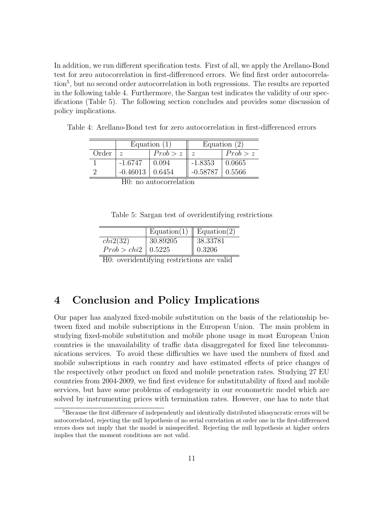In addition, we run different specification tests. First of all, we apply the Arellano-Bond test for zero autocorrelation in first-differenced errors. We find first order autocorrelation<sup>5</sup>, but no second order autocorrelation in both regressions. The results are reported in the following table 4. Furthermore, the Sargan test indicates the validity of our specifications (Table 5). The following section concludes and provides some discussion of policy implications.

Table 4: Arellano-Bond test for zero autocorrelation in first-differenced errors

| Order<br>Prob > z<br>$\tilde{z}$<br>$\tilde{z}$ | Equation $(2)$ |
|-------------------------------------------------|----------------|
|                                                 | Prob > z       |
| $-1.6747$<br>$-1.8353$<br>0.0665<br>0.094       |                |
| $-0.46013$<br>$-0.58787$<br>0.5566<br>0.6454    |                |

H0: no autocorrelation

Table 5: Sargan test of overidentifying restrictions

|                      | Equation(1)   Equation(2) |                      |
|----------------------|---------------------------|----------------------|
| chi2(32)             | 30.89205                  | $\parallel 38.33781$ |
| Prob > chi2   0.5225 |                           | $\parallel 0.3206$   |

H0: overidentifying restrictions are valid

## 4 Conclusion and Policy Implications

Our paper has analyzed fixed-mobile substitution on the basis of the relationship between fixed and mobile subscriptions in the European Union. The main problem in studying fixed-mobile substitution and mobile phone usage in most European Union countries is the unavailability of traffic data disaggregated for fixed line telecommunications services. To avoid these difficulties we have used the numbers of fixed and mobile subscriptions in each country and have estimated effects of price changes of the respectively other product on fixed and mobile penetration rates. Studying 27 EU countries from 2004-2009, we find first evidence for substitutability of fixed and mobile services, but have some problems of endogeneity in our econometric model which are solved by instrumenting prices with termination rates. However, one has to note that

<sup>&</sup>lt;sup>5</sup>Because the first difference of independently and identically distributed idiosyncratic errors will be autocorrelated, rejecting the null hypothesis of no serial correlation at order one in the first-differenced errors does not imply that the model is misspecified. Rejecting the null hypothesis at higher orders implies that the moment conditions are not valid.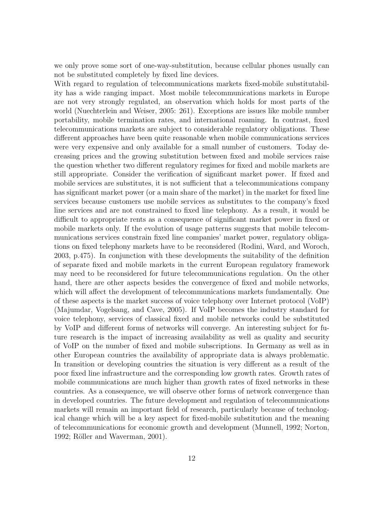we only prove some sort of one-way-substitution, because cellular phones usually can not be substituted completely by fixed line devices.

With regard to regulation of telecommunications markets fixed-mobile substitutability has a wide ranging impact. Most mobile telecommunications markets in Europe are not very strongly regulated, an observation which holds for most parts of the world (Nuechterlein and Weiser, 2005: 261). Exceptions are issues like mobile number portability, mobile termination rates, and international roaming. In contrast, fixed telecommunications markets are subject to considerable regulatory obligations. These different approaches have been quite reasonable when mobile communications services were very expensive and only available for a small number of customers. Today decreasing prices and the growing substitution between fixed and mobile services raise the question whether two different regulatory regimes for fixed and mobile markets are still appropriate. Consider the verification of significant market power. If fixed and mobile services are substitutes, it is not sufficient that a telecommunications company has significant market power (or a main share of the market) in the market for fixed line services because customers use mobile services as substitutes to the company's fixed line services and are not constrained to fixed line telephony. As a result, it would be difficult to appropriate rents as a consequence of significant market power in fixed or mobile markets only. If the evolution of usage patterns suggests that mobile telecommunications services constrain fixed line companies' market power, regulatory obligations on fixed telephony markets have to be reconsidered (Rodini, Ward, and Woroch, 2003, p.475). In conjunction with these developments the suitability of the definition of separate fixed and mobile markets in the current European regulatory framework may need to be reconsidered for future telecommunications regulation. On the other hand, there are other aspects besides the convergence of fixed and mobile networks, which will affect the development of telecommunications markets fundamentally. One of these aspects is the market success of voice telephony over Internet protocol (VoIP) (Majumdar, Vogelsang, and Cave, 2005). If VoIP becomes the industry standard for voice telephony, services of classical fixed and mobile networks could be substituted by VoIP and different forms of networks will converge. An interesting subject for future research is the impact of increasing availability as well as quality and security of VoIP on the number of fixed and mobile subscriptions. In Germany as well as in other European countries the availability of appropriate data is always problematic. In transition or developing countries the situation is very different as a result of the poor fixed line infrastructure and the corresponding low growth rates. Growth rates of mobile communications are much higher than growth rates of fixed networks in these countries. As a consequence, we will observe other forms of network convergence than in developed countries. The future development and regulation of telecommunications markets will remain an important field of research, particularly because of technological change which will be a key aspect for fixed-mobile substitution and the meaning of telecommunications for economic growth and development (Munnell, 1992; Norton, 1992; Röller and Waverman, 2001).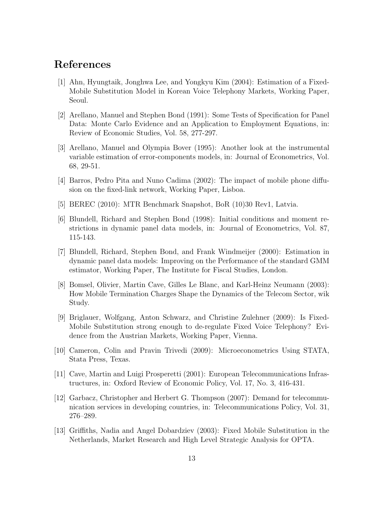## References

- [1] Ahn, Hyungtaik, Jonghwa Lee, and Yongkyu Kim (2004): Estimation of a Fixed-Mobile Substitution Model in Korean Voice Telephony Markets, Working Paper, Seoul.
- [2] Arellano, Manuel and Stephen Bond (1991): Some Tests of Specification for Panel Data: Monte Carlo Evidence and an Application to Employment Equations, in: Review of Economic Studies, Vol. 58, 277-297.
- [3] Arellano, Manuel and Olympia Bover (1995): Another look at the instrumental variable estimation of error-components models, in: Journal of Econometrics, Vol. 68, 29-51.
- [4] Barros, Pedro Pita and Nuno Cadima (2002): The impact of mobile phone diffusion on the fixed-link network, Working Paper, Lisboa.
- [5] BEREC (2010): MTR Benchmark Snapshot, BoR (10)30 Rev1, Latvia.
- [6] Blundell, Richard and Stephen Bond (1998): Initial conditions and moment restrictions in dynamic panel data models, in: Journal of Econometrics, Vol. 87, 115-143.
- [7] Blundell, Richard, Stephen Bond, and Frank Windmeijer (2000): Estimation in dynamic panel data models: Improving on the Performance of the standard GMM estimator, Working Paper, The Institute for Fiscal Studies, London.
- [8] Bomsel, Olivier, Martin Cave, Gilles Le Blanc, and Karl-Heinz Neumann (2003): How Mobile Termination Charges Shape the Dynamics of the Telecom Sector, wik Study.
- [9] Briglauer, Wolfgang, Anton Schwarz, and Christine Zulehner (2009): Is Fixed-Mobile Substitution strong enough to de-regulate Fixed Voice Telephony? Evidence from the Austrian Markets, Working Paper, Vienna.
- [10] Cameron, Colin and Pravin Trivedi (2009): Microeconometrics Using STATA, Stata Press, Texas.
- [11] Cave, Martin and Luigi Prosperetti (2001): European Telecommunications Infrastructures, in: Oxford Review of Economic Policy, Vol. 17, No. 3, 416-431.
- [12] Garbacz, Christopher and Herbert G. Thompson (2007): Demand for telecommunication services in developing countries, in: Telecommunications Policy, Vol. 31, 276–289.
- [13] Griffiths, Nadia and Angel Dobardziev (2003): Fixed Mobile Substitution in the Netherlands, Market Research and High Level Strategic Analysis for OPTA.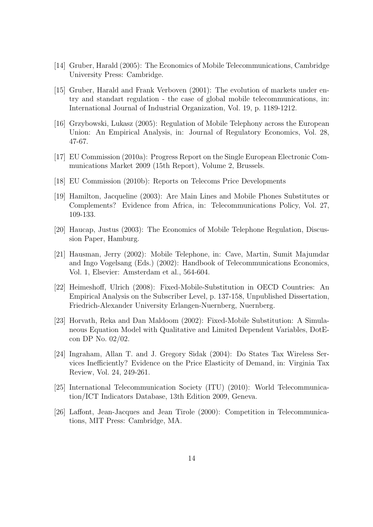- [14] Gruber, Harald (2005): The Economics of Mobile Telecommunications, Cambridge University Press: Cambridge.
- [15] Gruber, Harald and Frank Verboven (2001): The evolution of markets under entry and standart regulation - the case of global mobile telecommunications, in: International Journal of Industrial Organization, Vol. 19, p. 1189-1212.
- [16] Grzybowski, Lukasz (2005): Regulation of Mobile Telephony across the European Union: An Empirical Analysis, in: Journal of Regulatory Economics, Vol. 28, 47-67.
- [17] EU Commission (2010a): Progress Report on the Single European Electronic Communications Market 2009 (15th Report), Volume 2, Brussels.
- [18] EU Commission (2010b): Reports on Telecoms Price Developments
- [19] Hamilton, Jacqueline (2003): Are Main Lines and Mobile Phones Substitutes or Complements? Evidence from Africa, in: Telecommunications Policy, Vol. 27, 109-133.
- [20] Haucap, Justus (2003): The Economics of Mobile Telephone Regulation, Discussion Paper, Hamburg.
- [21] Hausman, Jerry (2002): Mobile Telephone, in: Cave, Martin, Sumit Majumdar and Ingo Vogelsang (Eds.) (2002): Handbook of Telecommunications Economics, Vol. 1, Elsevier: Amsterdam et al., 564-604.
- [22] Heimeshoff, Ulrich (2008): Fixed-Mobile-Substitution in OECD Countries: An Empirical Analysis on the Subscriber Level, p. 137-158, Unpublished Dissertation, Friedrich-Alexander University Erlangen-Nuernberg, Nuernberg.
- [23] Horvath, Reka and Dan Maldoom (2002): Fixed-Mobile Substitution: A Simulaneous Equation Model with Qualitative and Limited Dependent Variables, DotEcon DP No. 02/02.
- [24] Ingraham, Allan T. and J. Gregory Sidak (2004): Do States Tax Wireless Services Inefficiently? Evidence on the Price Elasticity of Demand, in: Virginia Tax Review, Vol. 24, 249-261.
- [25] International Telecommunication Society (ITU) (2010): World Telecommunication/ICT Indicators Database, 13th Edition 2009, Geneva.
- [26] Laffont, Jean-Jacques and Jean Tirole (2000): Competition in Telecommunications, MIT Press: Cambridge, MA.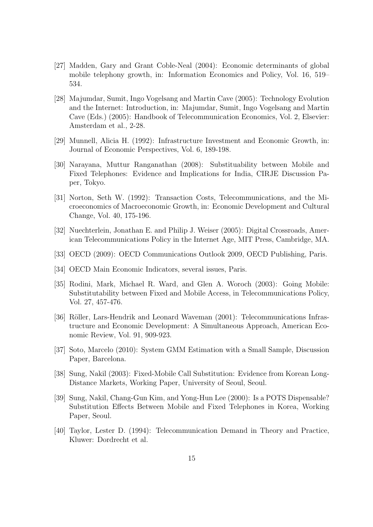- [27] Madden, Gary and Grant Coble-Neal (2004): Economic determinants of global mobile telephony growth, in: Information Economics and Policy, Vol. 16, 519– 534.
- [28] Majumdar, Sumit, Ingo Vogelsang and Martin Cave (2005): Technology Evolution and the Internet: Introduction, in: Majumdar, Sumit, Ingo Vogelsang and Martin Cave (Eds.) (2005): Handbook of Telecommunication Economics, Vol. 2, Elsevier: Amsterdam et al., 2-28.
- [29] Munnell, Alicia H. (1992): Infrastructure Investment and Economic Growth, in: Journal of Economic Perspectives, Vol. 6, 189-198.
- [30] Narayana, Muttur Ranganathan (2008): Substituability between Mobile and Fixed Telephones: Evidence and Implications for India, CIRJE Discussion Paper, Tokyo.
- [31] Norton, Seth W. (1992): Transaction Costs, Telecommunications, and the Microeconomics of Macroeconomic Growth, in: Economic Development and Cultural Change, Vol. 40, 175-196.
- [32] Nuechterlein, Jonathan E. and Philip J. Weiser (2005): Digital Crossroads, American Telecommunications Policy in the Internet Age, MIT Press, Cambridge, MA.
- [33] OECD (2009): OECD Communications Outlook 2009, OECD Publishing, Paris.
- [34] OECD Main Economic Indicators, several issues, Paris.
- [35] Rodini, Mark, Michael R. Ward, and Glen A. Woroch (2003): Going Mobile: Substitutability between Fixed and Mobile Access, in Telecommunications Policy, Vol. 27, 457-476.
- [36] Röller, Lars-Hendrik and Leonard Waveman (2001): Telecommunications Infrastructure and Economic Development: A Simultaneous Approach, American Economic Review, Vol. 91, 909-923.
- [37] Soto, Marcelo (2010): System GMM Estimation with a Small Sample, Discussion Paper, Barcelona.
- [38] Sung, Nakil (2003): Fixed-Mobile Call Substitution: Evidence from Korean Long-Distance Markets, Working Paper, University of Seoul, Seoul.
- [39] Sung, Nakil, Chang-Gun Kim, and Yong-Hun Lee (2000): Is a POTS Dispensable? Substitution Effects Between Mobile and Fixed Telephones in Korea, Working Paper, Seoul.
- [40] Taylor, Lester D. (1994): Telecommunication Demand in Theory and Practice, Kluwer: Dordrecht et al.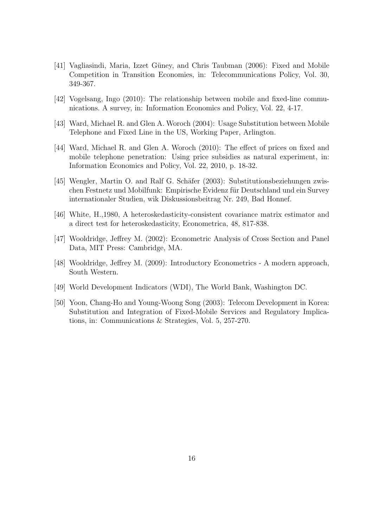- [41] Vagliasindi, Maria, Izzet Güney, and Chris Taubman (2006): Fixed and Mobile Competition in Transition Economies, in: Telecommunications Policy, Vol. 30, 349-367.
- [42] Vogelsang, Ingo (2010): The relationship between mobile and fixed-line communications. A survey, in: Information Economics and Policy, Vol. 22, 4-17.
- [43] Ward, Michael R. and Glen A. Woroch (2004): Usage Substitution between Mobile Telephone and Fixed Line in the US, Working Paper, Arlington.
- [44] Ward, Michael R. and Glen A. Woroch (2010): The effect of prices on fixed and mobile telephone penetration: Using price subsidies as natural experiment, in: Information Economics and Policy, Vol. 22, 2010, p. 18-32.
- [45] Wengler, Martin O. and Ralf G. Schäfer (2003): Substitutionsbeziehungen zwischen Festnetz und Mobilfunk: Empirische Evidenz für Deutschland und ein Survey internationaler Studien, wik Diskussionsbeitrag Nr. 249, Bad Honnef.
- [46] White, H.,1980, A heteroskedasticity-consistent covariance matrix estimator and a direct test for heteroskedasticity, Econometrica, 48, 817-838.
- [47] Wooldridge, Jeffrey M. (2002): Econometric Analysis of Cross Section and Panel Data, MIT Press: Cambridge, MA.
- [48] Wooldridge, Jeffrey M. (2009): Introductory Econometrics A modern approach, South Western.
- [49] World Development Indicators (WDI), The World Bank, Washington DC.
- [50] Yoon, Chang-Ho and Young-Woong Song (2003): Telecom Development in Korea: Substitution and Integration of Fixed-Mobile Services and Regulatory Implications, in: Communications & Strategies, Vol. 5, 257-270.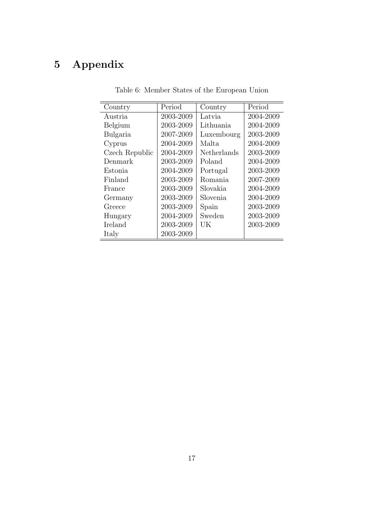# 5 Appendix

| Country        | Period    | Country     | Period    |
|----------------|-----------|-------------|-----------|
| Austria        | 2003-2009 | Latvia      | 2004-2009 |
| Belgium        | 2003-2009 | Lithuania   | 2004-2009 |
| Bulgaria       | 2007-2009 | Luxembourg  | 2003-2009 |
| Cyprus         | 2004-2009 | Malta.      | 2004-2009 |
| Czech Republic | 2004-2009 | Netherlands | 2003-2009 |
| Denmark        | 2003-2009 | Poland      | 2004-2009 |
| Estonia        | 2004-2009 | Portugal    | 2003-2009 |
| Finland        | 2003-2009 | Romania     | 2007-2009 |
| France         | 2003-2009 | Slovakia.   | 2004-2009 |
| Germany        | 2003-2009 | Slovenia    | 2004-2009 |
| Greece         | 2003-2009 | Spain       | 2003-2009 |
| Hungary        | 2004-2009 | Sweden      | 2003-2009 |
| Ireland        | 2003-2009 | UК          | 2003-2009 |
| Italy          | 2003-2009 |             |           |

Table 6: Member States of the European Union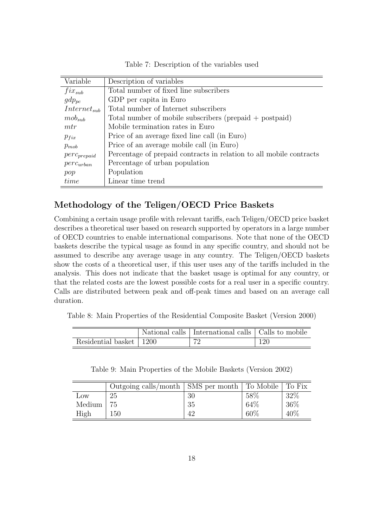Table 7: Description of the variables used

| Variable         | Description of variables                                            |
|------------------|---------------------------------------------------------------------|
| $fix_{sub}$      | Total number of fixed line subscribers                              |
| $gdp_{pc}$       | GDP per capita in Euro                                              |
| $Internet_{sub}$ | Total number of Internet subscribers                                |
| $mob_{sub}$      | Total number of mobile subscribers (prepaid $+$ postpaid)           |
| mtr              | Mobile termination rates in Euro                                    |
| $p_{fix}$        | Price of an average fixed line call (in Euro)                       |
| $p_{mob}$        | Price of an average mobile call (in Euro)                           |
| $perc_{prepaid}$ | Percentage of prepaid contracts in relation to all mobile contracts |
| $perc_{urban}$   | Percentage of urban population                                      |
| pop              | Population                                                          |
| time             | Linear time trend                                                   |

### Methodology of the Teligen/OECD Price Baskets

Combining a certain usage profile with relevant tariffs, each Teligen/OECD price basket describes a theoretical user based on research supported by operators in a large number of OECD countries to enable international comparisons. Note that none of the OECD baskets describe the typical usage as found in any specific country, and should not be assumed to describe any average usage in any country. The Teligen/OECD baskets show the costs of a theoretical user, if this user uses any of the tariffs included in the analysis. This does not indicate that the basket usage is optimal for any country, or that the related costs are the lowest possible costs for a real user in a specific country. Calls are distributed between peak and off-peak times and based on an average call duration.

Table 8: Main Properties of the Residential Composite Basket (Version 2000)

|                           | National calls   International calls   Calls to mobile |     |
|---------------------------|--------------------------------------------------------|-----|
| Residential basket   1200 | 70                                                     | 120 |

Table 9: Main Properties of the Mobile Baskets (Version 2002)

|        | Outgoing calls/month   SMS per month   To Mobile |    |      | l To Fix |
|--------|--------------------------------------------------|----|------|----------|
| Low    | 25                                               | 30 | 58\% | 32%      |
| Medium | 75                                               | 35 | 64\% | 36%      |
| High   | 150                                              | 42 | 60\% | 40%      |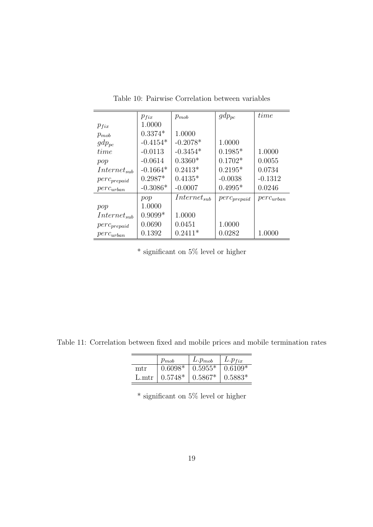|                  | $p_{fix}$  | $p_{mob}$        | $gdp_{pc}$       | time           |
|------------------|------------|------------------|------------------|----------------|
| $p_{fix}$        | 1.0000     |                  |                  |                |
| $p_{mob}$        | $0.3374*$  | 1.0000           |                  |                |
| $gdp_{pc}$       | $-0.4154*$ | $-0.2078*$       | 1.0000           |                |
| time             | $-0.0113$  | $-0.3454*$       | $0.1985*$        | 1.0000         |
| pop              | $-0.0614$  | $0.3360*$        | $0.1702*$        | 0.0055         |
| $Internet_{sub}$ | $-0.1664*$ | $0.2413*$        | $0.2195*$        | 0.0734         |
| $perc_{prepaid}$ | $0.2987*$  | $0.4135*$        | $-0.0038$        | $-0.1312$      |
| $perc_{urban}$   | $-0.3086*$ | $-0.0007$        | $0.4995*$        | 0.0246         |
|                  | pop        | $Internet_{sub}$ | $perC_{prepaid}$ | $perc_{urban}$ |
| pop              | 1.0000     |                  |                  |                |
| $Internet_{sub}$ | $0.9099*$  | 1.0000           |                  |                |
| $perc_{prepaid}$ | 0.0690     | 0.0451           | 1.0000           |                |
| $perc_{urban}$   | 0.1392     | $0.2411*$        | 0.0282           | 1.0000         |

Table 10: Pairwise Correlation between variables

 $^\ast$  significant on  $5\%$  level or higher

Table 11: Correlation between fixed and mobile prices and mobile termination rates

|     | $p_{mob}$         | $L.p_{mob}$ | $L.p_{fix}$ |
|-----|-------------------|-------------|-------------|
| mtr | $0.6098*$         | $10.5955*$  | $0.6109*$   |
|     | L.mtr   $0.5748*$ | $0.5867*$   | $0.5883*$   |

 $^{\ast}$  significant on  $5\%$  level or higher